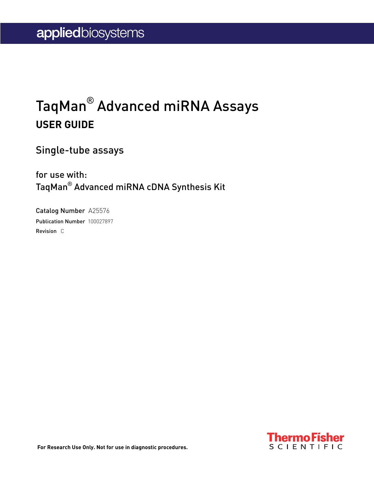## TaqMan® Advanced miRNA Assays **USER GUIDE**

Single-tube assays

for use with: TaqMan® Advanced miRNA cDNA Synthesis Kit

Catalog Number A25576 Publication Number 100027897 Revision C

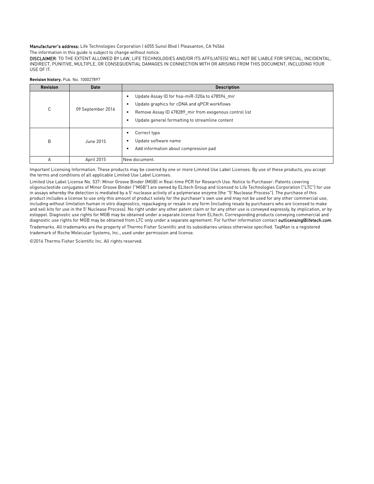#### Manufacturer's address: Life Technologies Corporation | 6055 Sunol Blvd | Pleasanton, CA 94566

The information in this guide is subject to change without notice.

DISCLAIMER: TO THE EXTENT ALLOWED BY LAW, LIFE TECHNOLOGIES AND/OR ITS AFFILIATE(S) WILL NOT BE LIABLE FOR SPECIAL, INCIDENTAL, INDIRECT, PUNITIVE, MULTIPLE, OR CONSEQUENTIAL DAMAGES IN CONNECTION WITH OR ARISING FROM THIS DOCUMENT, INCLUDING YOUR USE OF IT.

| <b>Revision</b> | <b>Date</b>       | <b>Description</b>                                                                                                                                                                                         |  |
|-----------------|-------------------|------------------------------------------------------------------------------------------------------------------------------------------------------------------------------------------------------------|--|
| C               | 09 September 2016 | Update Assay ID for hsa-miR-320a to 478594 mir<br>Update graphics for cDNA and gPCR workflows<br>Remove Assay ID 478289 mir from exogenous control list<br>Update general formatting to streamline content |  |
| B               | June 2015         | Correct typo<br>Update software name<br>Add information about compression pad                                                                                                                              |  |
| A               | April 2015        | New document.                                                                                                                                                                                              |  |

**Revision history.** Pub. No. 100027897

Important Licensing Information. These products may be covered by one or more Limited Use Label Licenses. By use of these products, you accept the terms and conditions of all applicable Limited Use Label Licenses.

Limited Use Label License No. 537: Minor Groove Binder (MGB) in Real-time PCR for Research Use. Notice to Purchaser: Patents covering oligonucleotide conjugates of Minor Groove Binder ("MGB") are owned by ELItech Group and licensed to Life Technologies Corporation ("LTC") for use in assays whereby the detection is mediated by a 5′ nuclease activity of a polymerase enzyme (the "5′ Nuclease Process"). The purchase of this product includes a license to use only this amount of product solely for the purchaser's own use and may not be used for any other commercial use, including without limitation human in vitro diagnostics, repackaging or resale in any form (including resale by purchasers who are licensed to make and sell kits for use in the 5′ Nuclease Process). No right under any other patent claim or for any other use is conveyed expressly, by implication, or by estoppel. Diagnostic use rights for MGB may be obtained under a separate license from ELItech. Corresponding products conveying commercial and diagnostic use rights for MGB may be obtained from LTC only under a separate agreement. For further information contact [outlicensing@lifetech.com](mailto: outlicensing@lifetech.com). Trademarks. All trademarks are the property of Thermo Fisher Scientific and its subsidiaries unless otherwise specified. TaqMan is a registered

trademark of Roche Molecular Systems, Inc., used under permission and license.

©2016 Thermo Fisher Scientific Inc. All rights reserved.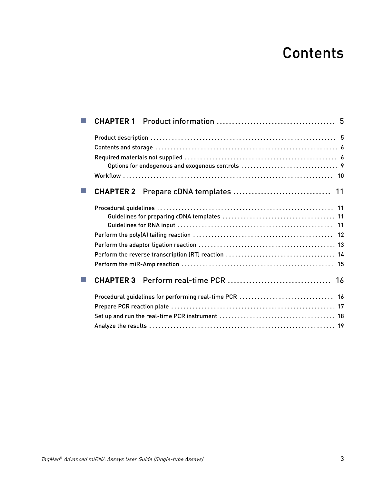## **Contents**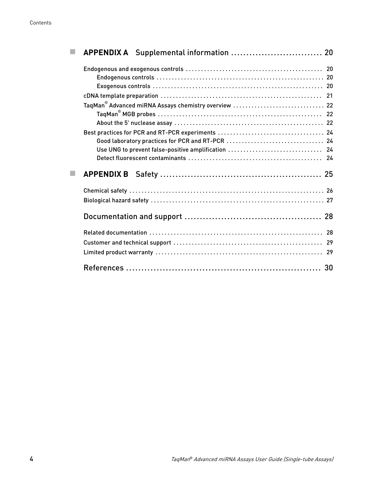|  | TaqMan <sup>®</sup> Advanced miRNA Assays chemistry overview  22 |  |
|--|------------------------------------------------------------------|--|
|  |                                                                  |  |
|  |                                                                  |  |
|  |                                                                  |  |
|  |                                                                  |  |
|  |                                                                  |  |
|  |                                                                  |  |
|  |                                                                  |  |
|  |                                                                  |  |
|  |                                                                  |  |
|  |                                                                  |  |
|  |                                                                  |  |
|  |                                                                  |  |
|  |                                                                  |  |
|  |                                                                  |  |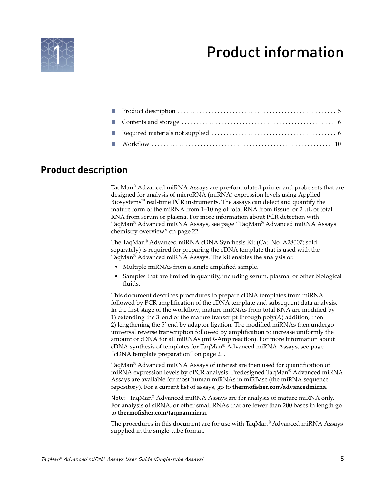<span id="page-4-0"></span>

## Product information

### **Product description**

TaqMan® Advanced miRNA Assays are pre-formulated primer and probe sets that are designed for analysis of microRNA (miRNA) expression levels using Applied Biosystems™ real-time PCR instruments. The assays can detect and quantify the mature form of the miRNA from 1–10 ng of total RNA from tissue, or 2 µL of total RNA from serum or plasma. For more information about PCR detection with TaqMan® Advanced miRNA Assays, see page "TaqMan® [Advanced miRNA Assays](#page-21-0) [chemistry overview" on page 22.](#page-21-0)

The TaqMan® Advanced miRNA cDNA Synthesis Kit (Cat. No. A28007; sold separately) is required for preparing the cDNA template that is used with the TaqMan® Advanced miRNA Assays. The kit enables the analysis of:

- Multiple miRNAs from a single amplified sample.
- Samples that are limited in quantity, including serum, plasma, or other biological  $fluids$ .

This document describes procedures to prepare cDNA templates from miRNA followed by PCR amplification of the cDNA template and subsequent data analysis. In the first stage of the workflow, mature miRNAs from total RNA are modified by 1) extending the 3' end of the mature transcript through  $poly(A)$  addition, then 2) lengthening the 5' end by adaptor ligation. The modfied miRNAs then undergo universal reverse transcription followed by amplficaton to increase uniformly the amount of cDNA for all miRNAs (miR-Amp reaction). For more information about cDNA synthesis of templates for TaqMan® Advanced miRNA Assays, see page ["cDNA template preparation" on page 21](#page-20-0).

TaqMan® Advanced miRNA Assays of interest are then used for quantficaton of miRNA expression levels by qPCR analysis. Predesigned TaqMan® Advanced miRNA Assays are available for most human miRNAs in miRBase (the miRNA sequence repository). For a current list of assays, go to **thermofisher.com/advancedmirna**.

Note: TaqMan® Advanced miRNA Assays are for analysis of mature miRNA only. For analysis of siRNA, or other small RNAs that are fewer than 200 bases in length go to **thermofisher.com/taqmanmirna**.

The procedures in this document are for use with TaqMan® Advanced miRNA Assays supplied in the single-tube format.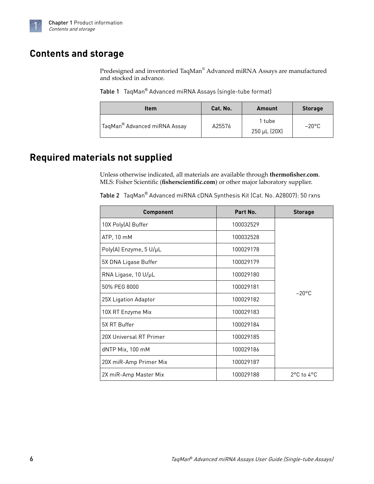<span id="page-5-0"></span>

## **Contents and storage**

Predesigned and inventoried TaqMan $^\circ$  Advanced miRNA Assays are manufactured and stocked in advance.

Table 1 TaqMan® Advanced miRNA Assays (single-tube format)

| <b>Item</b>                  | Cat. No. | Amount                 | <b>Storage</b>  |
|------------------------------|----------|------------------------|-----------------|
| TaqMan® Advanced miRNA Assay | A25576   | 1 tube<br>250 µL (20X) | $-20^{\circ}$ C |

## **Required materials not supplied**

Unless otherwise indicated, all materials are available through **thermofisher.com**. MLS: Fisher Scientific (fisherscientific.com) or other major laboratory supplier.

Table 2 TaqMan® Advanced miRNA cDNA Synthesis Kit (Cat. No. A28007): 50 rxns

| <b>Component</b>        | Part No.  | <b>Storage</b>  |
|-------------------------|-----------|-----------------|
| 10X Poly(A) Buffer      | 100032529 |                 |
| ATP, 10 mM              | 100032528 |                 |
| Poly(A) Enzyme, 5 U/µL  | 100029178 |                 |
| 5X DNA Ligase Buffer    | 100029179 |                 |
| RNA Ligase, 10 U/µL     | 100029180 |                 |
| 50% PEG 8000            | 100029181 |                 |
| 25X Ligation Adaptor    | 100029182 | $-20^{\circ}$ C |
| 10X RT Enzyme Mix       | 100029183 |                 |
| 5X RT Buffer            | 100029184 |                 |
| 20X Universal RT Primer | 100029185 |                 |
| dNTP Mix, 100 mM        | 100029186 |                 |
| 20X miR-Amp Primer Mix  | 100029187 |                 |
| 2X miR-Amp Master Mix   | 100029188 | 2°C to 4°C      |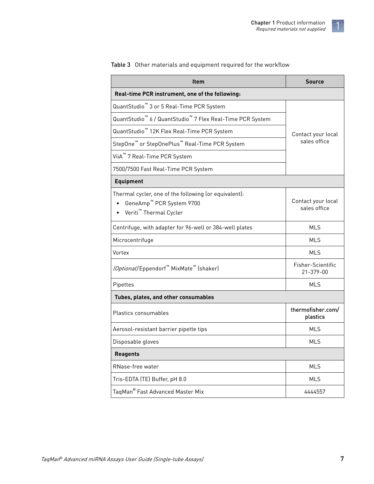| <b>Item</b>                                                                                                                         | <b>Source</b>                      |  |  |  |
|-------------------------------------------------------------------------------------------------------------------------------------|------------------------------------|--|--|--|
| Real-time PCR instrument, one of the following:                                                                                     |                                    |  |  |  |
| QuantStudio <sup>™</sup> 3 or 5 Real-Time PCR System                                                                                |                                    |  |  |  |
| QuantStudio <sup>™</sup> 6 / QuantStudio <sup>™</sup> 7 Flex Real-Time PCR System                                                   |                                    |  |  |  |
| QuantStudio <sup>™</sup> 12K Flex Real-Time PCR System                                                                              | Contact your local                 |  |  |  |
| StepOne <sup>™</sup> or StepOnePlus <sup>™</sup> Real-Time PCR System                                                               | sales office                       |  |  |  |
| ViiA <sup>™</sup> 7 Real-Time PCR System                                                                                            |                                    |  |  |  |
| 7500/7500 Fast Real-Time PCR System                                                                                                 |                                    |  |  |  |
| <b>Equipment</b>                                                                                                                    |                                    |  |  |  |
| Thermal cycler, one of the following (or equivalent):<br>GeneAmp <sup>™</sup> PCR System 9700<br>Veriti <sup>™</sup> Thermal Cycler | Contact your local<br>sales office |  |  |  |
| Centrifuge, with adapter for 96-well or 384-well plates                                                                             | <b>MLS</b>                         |  |  |  |
| Microcentrifuge                                                                                                                     | MLS                                |  |  |  |
| Vortex                                                                                                                              | <b>MLS</b>                         |  |  |  |
| (Optional) Eppendorf <sup>™</sup> MixMate <sup>™</sup> (shaker)                                                                     | Fisher-Scientific<br>21-379-00     |  |  |  |
| Pipettes                                                                                                                            | MLS                                |  |  |  |
| Tubes, plates, and other consumables                                                                                                |                                    |  |  |  |
| Plastics consumables                                                                                                                | thermofisher.com/<br>plastics      |  |  |  |
| Aerosol-resistant barrier pipette tips                                                                                              | <b>MLS</b>                         |  |  |  |
| Disposable gloves                                                                                                                   | <b>MLS</b>                         |  |  |  |
| <b>Reagents</b>                                                                                                                     |                                    |  |  |  |
| RNase-free water                                                                                                                    | <b>MLS</b>                         |  |  |  |
| Tris-EDTA (TE) Buffer, pH 8.0                                                                                                       | <b>MLS</b>                         |  |  |  |
| TaqMan® Fast Advanced Master Mix                                                                                                    | 4444557                            |  |  |  |

Table 3 Other materials and equipment required for the workflow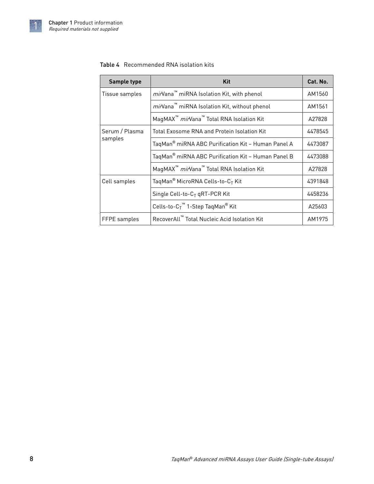### <span id="page-7-0"></span>Table 4 Recommended RNA isolation kits

| Sample type    | Kit                                                              | Cat. No. |
|----------------|------------------------------------------------------------------|----------|
| Tissue samples | <i>mir</i> Vana™ miRNA Isolation Kit, with phenol                | AM1560   |
|                | mirVana <sup>™</sup> miRNA Isolation Kit, without phenol         | AM1561   |
|                | MaqMAX <sup>™</sup> mirVana <sup>™</sup> Total RNA Isolation Kit | A27828   |
| Serum / Plasma | <b>Total Exosome RNA and Protein Isolation Kit</b>               | 4478545  |
| samples        | TaqMan <sup>®</sup> miRNA ABC Purification Kit - Human Panel A   | 4473087  |
|                | TaqMan <sup>®</sup> miRNA ABC Purification Kit - Human Panel B   | 4473088  |
|                | MagMAX <sup>™</sup> mirVana <sup>™</sup> Total RNA Isolation Kit | A27828   |
| Cell samples   | TaqMan <sup>®</sup> MicroRNA Cells-to-C <sub>T</sub> Kit         | 4391848  |
|                | Single Cell-to-C <sub>T</sub> qRT-PCR Kit                        | 4458236  |
|                | Cells-to- $C_T$ <sup>™</sup> 1-Step TaqMan <sup>®</sup> Kit      | A25603   |
| FFPE samples   | RecoverAll™ Total Nucleic Acid Isolation Kit                     |          |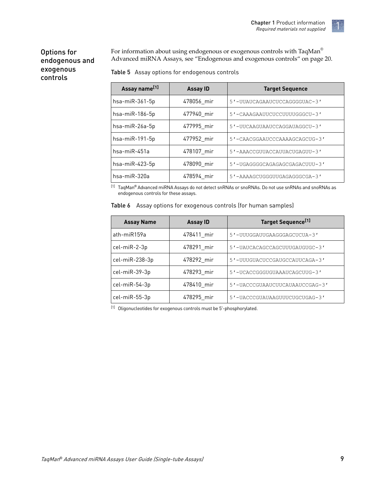### <span id="page-8-0"></span>Options for endogenous and exogenous controls

For information about using endogenous or exogenous controls with TaqMan<br>® Advanced miRNA Assays, see ["Endogenous and exogenous controls" on page 20.](#page-19-0)

| Table 5 Assay options for endogenous controls |  |  |  |
|-----------------------------------------------|--|--|--|
|                                               |  |  |  |

| Assay name <sup>[1]</sup> | <b>Assay ID</b> | <b>Target Sequence</b>        |
|---------------------------|-----------------|-------------------------------|
| $hsa$ -mi $R$ -361-5p     | 478056 mir      | 5'-UUAUCAGAAUCUCCAGGGGUAC-3'  |
| hsa-miR-186-5p            | 477940 mir      | 5'-CAAAGAAUUCUCCUUUUGGGCU-3'  |
| hsa-miR-26a-5p            | 477995 mir      | 5'-UUCAAGUAAUCCAGGAUAGGCU-3'  |
| hsa-miR-191-5p            | 477952 mir      | 5'-CAACGGAAUCCCAAAAGCAGCUG-3' |
| hsa-miR-451a              | 478107 mir      | 5'-AAACCGUUACCAUUACUGAGUU-3'  |
| hsa-miR-423-5p            | 478090 mir      | 5'-UGAGGGGCAGAGAGCGAGACUUU-3' |
| hsa-miR-320a              | 478594 mir      | 5'-AAAAGCUGGGUUGAGAGGGCGA-3'  |

 $^{[1]}$  TaqMan® Advanced miRNA Assays do not detect snRNAs or snoRNAs. Do not use snRNAs and snoRNAs as endogenous controls for these assays.

|  | Table 6 Assay options for exogenous controls (for human samples) |  |  |  |  |
|--|------------------------------------------------------------------|--|--|--|--|
|--|------------------------------------------------------------------|--|--|--|--|

| <b>Assay Name</b> | <b>Assay ID</b> | Target Sequence <sup>[1]</sup> |
|-------------------|-----------------|--------------------------------|
| ath-miR159a       | 478411_mir      | 5'-UUUGGAUUGAAGGGAGCUCUA-3'    |
| cel-miR-2-3p      | 478291_mir      | 5'-UAUCACAGCCAGCUUUGAUGUGC-3'  |
| cel-miR-238-3p    | 478292 mir      | 5'-UUUGUACUCCGAUGCCAUUCAGA-3'  |
| cel-miR-39-3p     | 478293 mir      | 5'-UCACCGGGUGUAAAUCAGCUUG-3'   |
| cel-miR-54-3p     | 478410 mir      | 5'-UACCCGUAAUCUUCAUAAUCCGAG-3' |
| cel-miR-55-3p     | 478295 mir      | 5'-UACCCGUAUAAGUUUCUGCUGAG-3'  |

[1] Oligonucleotides for exogenous controls must be 5'-phosphorylated.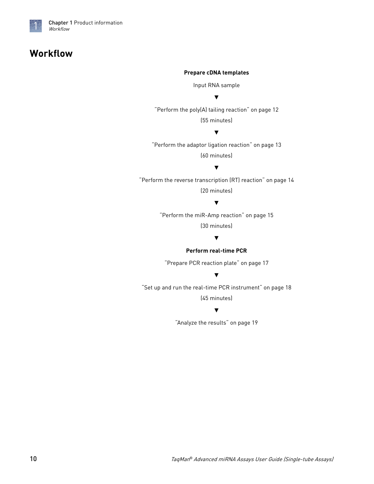<span id="page-9-0"></span>

## **Workflow**

#### **Prepare cDNA templates**

Input RNA sample

#### ▼

["Perform the poly\(A\) tailing reaction" on page 12](#page-11-0) (55 minutes)

#### ▼

["Perform the adaptor ligation reaction" on page 13](#page-12-0) (60 minutes)

### ▼

["Perform the reverse transcription \(RT\) reaction" on page 14](#page-13-0) (20 minutes)

#### ▼

["Perform the miR-Amp reaction" on page 15](#page-14-0) (30 minutes)

### ▼

#### **Perform real-time PCR**

["Prepare PCR reaction plate" on page 17](#page-16-0)

#### ▼

["Set up and run the real-time PCR instrument" on page 18](#page-17-0) (45 minutes)

#### ▼

["Analyze the results" on page 19](#page-18-0)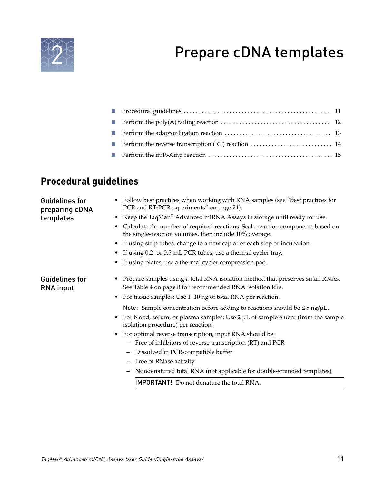## Prepare cDNA templates

<span id="page-10-0"></span>

## **Procedural guidelines**

| <b>Guidelines for</b><br>preparing cDNA   | • Follow best practices when working with RNA samples (see "Best practices for<br>PCR and RT-PCR experiments" on page 24).                                                                                 |
|-------------------------------------------|------------------------------------------------------------------------------------------------------------------------------------------------------------------------------------------------------------|
| templates                                 | • Keep the TaqMan® Advanced miRNA Assays in storage until ready for use.                                                                                                                                   |
|                                           | Calculate the number of required reactions. Scale reaction components based on<br>the single-reaction volumes, then include 10% overage.                                                                   |
|                                           | If using strip tubes, change to a new cap after each step or incubation.                                                                                                                                   |
|                                           | If using 0.2- or 0.5-mL PCR tubes, use a thermal cycler tray.                                                                                                                                              |
|                                           | If using plates, use a thermal cycler compression pad.                                                                                                                                                     |
| <b>Guidelines for</b><br><b>RNA</b> input | Prepare samples using a total RNA isolation method that preserves small RNAs.<br>See Table 4 on page 8 for recommended RNA isolation kits.<br>• For tissue samples: Use 1-10 ng of total RNA per reaction. |
|                                           | Note: Sample concentration before adding to reactions should be $\leq$ 5 ng/ $\mu$ L.                                                                                                                      |
|                                           | For blood, serum, or plasma samples: Use $2 \mu L$ of sample eluent (from the sample<br>isolation procedure) per reaction.                                                                                 |
|                                           | • For optimal reverse transcription, input RNA should be:<br>- Free of inhibitors of reverse transcription (RT) and PCR                                                                                    |
|                                           | Dissolved in PCR-compatible buffer<br>$\overline{\phantom{m}}$                                                                                                                                             |
|                                           | - Free of RNase activity                                                                                                                                                                                   |
|                                           | - Nondenatured total RNA (not applicable for double-stranded templates)                                                                                                                                    |
|                                           | <b>IMPORTANT!</b> Do not denature the total RNA.                                                                                                                                                           |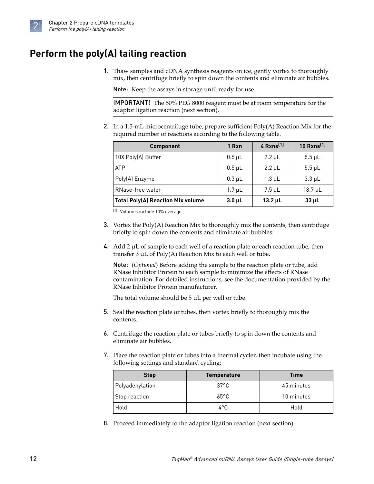## <span id="page-11-0"></span>**Perform the poly(A) tailing reaction**

1. Thaw samples and cDNA synthesis reagents on ice, gently vortex to thoroughly mix, then centrifuge briefly to spin down the contents and eliminate air bubbles.

Note: Keep the assays in storage until ready for use.

IMPORTANT! The 50% PEG 8000 reagent must be at room temperature for the adaptor ligation reaction (next section).

2. In a 1.5-mL microcentrifuge tube, prepare sufficient  $Poly(A)$  Reaction Mix for the required number of reactions according to the following table.

| <b>Component</b>                         | 1 Rxn       | 4 Rxns <sup>[1]</sup> | 10 Rxns <sup>[1]</sup> |
|------------------------------------------|-------------|-----------------------|------------------------|
| 10X Poly(A) Buffer                       | $0.5 \mu L$ | $2.2 \mu L$           | $5.5 \mu L$            |
| <b>ATP</b>                               | $0.5$ µL    | $2.2 \mu L$           | $5.5 \mu L$            |
| Poly(A) Enzyme                           | $0.3 \mu L$ | $1.3 \mu L$           | $3.3 \mu L$            |
| RNase-free water                         | $1.7 \mu L$ | $7.5 \mu L$           | $18.7 \mu L$           |
| <b>Total Poly(A) Reaction Mix volume</b> | $3.0 \mu L$ | $13.2 \mu L$          | $33 \mu L$             |

[1] Volumes include 10% overage.

- 3. Vortex the Poly(A) Reaction Mix to thoroughly mix the contents, then centrifuge briefly to spin down the contents and eliminate air bubbles.
- 4. Add 2  $\mu$ L of sample to each well of a reaction plate or each reaction tube, then transfer  $3 \mu L$  of  $Poly(A)$  Reaction Mix to each well or tube.

Note: (*Optional*) Before adding the sample to the reaction plate or tube, add RNase Inhibitor Protein to each sample to minimize the effects of RNase contamination. For detailed instructions, see the documentation provided by the RNase Inhibitor Protein manufacturer.

The total volume should be 5  $\mu$ L per well or tube.

- 5. Seal the reaction plate or tubes, then vortex briefly to thoroughly mix the contents.
- 6. Centrifuge the reaction plate or tubes briefly to spin down the contents and eliminate air bubbles.
- 7. Place the reaction plate or tubes into a thermal cycler, then incubate using the following settings and standard cycling:

| <b>Step</b>     | <b>Temperature</b> | <b>Time</b> |
|-----------------|--------------------|-------------|
| Polyadenylation | 37°C               | 45 minutes  |
| Stop reaction   | $65^{\circ}$ C     | 10 minutes  |
| Hold            | 4°C                | Hold        |

8. Proceed immediately to the adaptor ligation reaction (next section).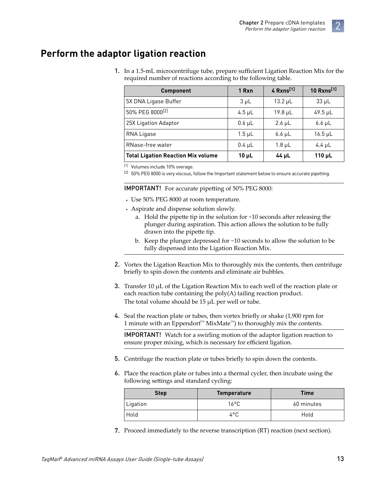## <span id="page-12-0"></span>**Perform the adaptor ligation reaction**

1. In a 1.5-mL microcentrifuge tube, prepare sufficent Ligation Reaction Mix for the required number of reactions according to the following table.

| <b>Component</b>                          | 1 Rxn         | 4 Rxns <sup>[1]</sup> | 10 Rxns <sup>[1]</sup> |
|-------------------------------------------|---------------|-----------------------|------------------------|
| 5X DNA Ligase Buffer                      | $3 \mu L$     | $13.2 \mu L$          | $33 \mu L$             |
| 50% PEG 8000 <sup>[2]</sup>               | $4.5 \mu L$   | $19.8 \mu L$          | $49.5 \mu L$           |
| 25X Ligation Adaptor                      | $0.6$ $\mu$ L | $2.6 \mu L$           | $6.6 \mu L$            |
| RNA Ligase                                | $1.5 \mu L$   | $6.6 \mu L$           | $16.5 \mu L$           |
| RNase-free water                          | $0.4 \mu L$   | $1.8 \mu L$           | 4.4 $\mu$ L            |
| <b>Total Ligation Reaction Mix volume</b> | $10 \mu L$    | 44 µL                 | $110 \mu L$            |

[1] Volumes include 10% overage.

[2] 50% PEG 8000 is very viscous, follow the Important statement below to ensure accurate pipetting.

**IMPORTANT!** For accurate pipetting of 50% PEG 8000:

- **·** Use 50% PEG 8000 at room temperature.
- **·** Aspirate and dispense solution slowly.
	- a. Hold the pipette tip in the solution for  $\sim$ 10 seconds after releasing the plunger during aspiration. This action allows the solution to be fully drawn into the pipette tip.
	- b. Keep the plunger depressed for ~10 seconds to allow the solution to be fully dispensed into the Ligation Reaction Mix.
- 2. Vortex the Ligation Reaction Mix to thoroughly mix the contents, then centrifuge briefly to spin down the contents and eliminate air bubbles.
- **3.** Transfer 10  $\mu$ L of the Ligation Reaction Mix to each well of the reaction plate or each reaction tube containing the poly(A) tailing reaction product. The total volume should be 15 µL per well or tube.
- 4. Seal the reaction plate or tubes, then vortex briefly or shake (1,900 rpm for 1 minute with an Eppendorf™ MixMate™) to thoroughly mix the contents.

IMPORTANT! Watch for a swirling motion of the adaptor ligation reaction to ensure proper mixing, which is necessary for efficient ligation.

- 5. Centrifuge the reaction plate or tubes briefly to spin down the contents.
- 6. Place the reaction plate or tubes into a thermal cycler, then incubate using the following settings and standard cycling:

| <b>Step</b> | <b>Temperature</b> | <b>Time</b> |
|-------------|--------------------|-------------|
| Ligation    | 16°C               | 60 minutes  |
| Hold        | 4°C                | Hold        |

7. Proceed immediately to the reverse transcription (RT) reaction (next section).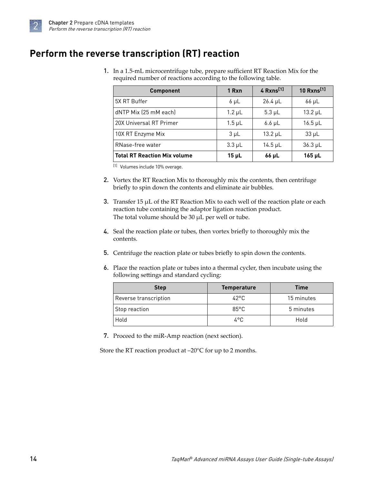<span id="page-13-0"></span>

## **Perform the reverse transcription (RT) reaction**

1. In a 1.5-mL microcentrifuge tube, prepare sufficent RT Reaction Mix for the required number of reactions according to the following table.

| <b>Component</b>                    | 1 Rxn       | 4 Rxns <sup>[1]</sup> | 10 $Rxns^{[1]}$ |
|-------------------------------------|-------------|-----------------------|-----------------|
| 5X RT Buffer                        | $6 \mu L$   | $26.4 \mu L$          | $66 \mu L$      |
| dNTP Mix (25 mM each)               | $1.2 \mu L$ | $5.3 \mu L$           | $13.2 \mu L$    |
| 20X Universal RT Primer             | $1.5 \mu L$ | $6.6 \mu L$           | $16.5$ µL       |
| 10X RT Enzyme Mix                   | $3 \mu L$   | $13.2 \mu L$          | $33 \mu L$      |
| RNase-free water                    | $3.3 \mu L$ | $14.5$ µL             | $36.3 \mu L$    |
| <b>Total RT Reaction Mix volume</b> | $15 \mu L$  | 66 µL                 | $165$ µL        |

[1] Volumes include 10% overage.

- 2. Vortex the RT Reaction Mix to thoroughly mix the contents, then centrifuge briefly to spin down the contents and eliminate air bubbles.
- 3. Transfer 15  $\mu$ L of the RT Reaction Mix to each well of the reaction plate or each reaction tube containing the adaptor ligation reaction product. The total volume should be 30  $\mu$ L per well or tube.
- 4. Seal the reaction plate or tubes, then vortex briefly to thoroughly mix the contents.
- 5. Centrifuge the reaction plate or tubes briefly to spin down the contents.
- 6. Place the reaction plate or tubes into a thermal cycler, then incubate using the following settings and standard cycling:

| <b>Step</b>           | <b>Temperature</b> | <b>Time</b> |
|-----------------------|--------------------|-------------|
| Reverse transcription | 42°C               | 15 minutes  |
| Stop reaction         | $85^{\circ}$ C     | 5 minutes   |
| Hold                  | 4°C.               | Hold        |

7. Proceed to the miR-Amp reaction (next section).

Store the RT reaction product at –20°C for up to 2 months.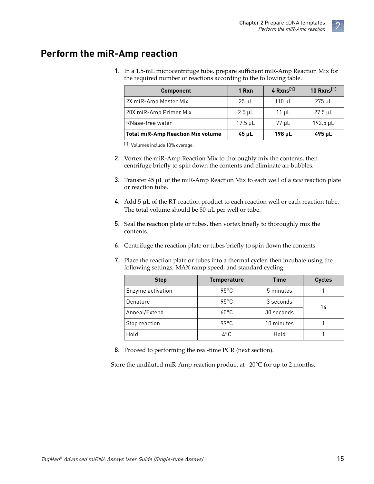### <span id="page-14-0"></span>**Perform the miR-Amp reaction**

1. In a 1.5-mL microcentrifuge tube, prepare sufficent miR-Amp Reaction Mix for the required number of reactions according to the following table.

| <b>Component</b>                         | 1 Rxn        | 4 $Rxns^{[1]}$ | 10 Rxns <sup>[1]</sup> |
|------------------------------------------|--------------|----------------|------------------------|
| 2X miR-Amp Master Mix                    | $25 \mu L$   | $110 \mu L$    | $275 \mu L$            |
| 20X miR-Amp Primer Mix                   | $2.5 \mu L$  | $11 \mu L$     | $27.5 \mu L$           |
| RNase-free water                         | $17.5 \mu L$ | 77 µL          | $192.5 \mu L$          |
| <b>Total miR-Amp Reaction Mix volume</b> | $45$ µL      | $198 \mu L$    | $495 \mu L$            |

[1] Volumes include 10% overage.

- 2. Vortex the miR-Amp Reaction Mix to thoroughly mix the contents, then centrifuge briefly to spin down the contents and eliminate air bubbles.
- 3. Transfer 45 µL of the miR-Amp Reaction Mix to each well of a *new* reaction plate or reaction tube.
- 4. Add  $5 \mu L$  of the RT reaction product to each reaction well or each reaction tube. The total volume should be 50  $\mu$ L per well or tube.
- 5. Seal the reaction plate or tubes, then vortex briefly to thoroughly mix the contents.
- 6. Centrifuge the reaction plate or tubes briefly to spin down the contents.
- 7. Place the reaction plate or tubes into a thermal cycler, then incubate using the following settings, MAX ramp speed, and standard cycling:

| <b>Step</b>       | <b>Temperature</b> | <b>Time</b> | <b>Cycles</b> |
|-------------------|--------------------|-------------|---------------|
| Enzyme activation | $95^{\circ}$ C     | 5 minutes   |               |
| Denature          | $95^{\circ}$ C     | 3 seconds   | 14            |
| Anneal/Extend     | $60^{\circ}$ C     | 30 seconds  |               |
| Stop reaction     | 99°C               | 10 minutes  |               |
| Hold              | 4°C                | Hold        |               |

8. Proceed to performing the real-time PCR (next section).

Store the undiluted miR-Amp reaction product at –20°C for up to 2 months.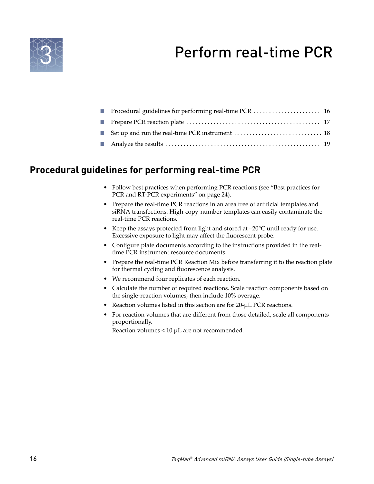## Perform real-time PCR

<span id="page-15-0"></span>

| Set up and run the real-time PCR instrument $\dots\dots\dots\dots\dots\dots\dots\dots\dots$ 18 |  |
|------------------------------------------------------------------------------------------------|--|
|                                                                                                |  |

## **Procedural guidelines for performing real-time PCR**

- Follow best practices when performing PCR reactions (see ["Best practices for](#page-23-0) [PCR and RT-PCR experiments" on page 24\)](#page-23-0).
- Prepare the real-time PCR reactions in an area free of artificial templates and siRNA transfections. High-copy-number templates can easily contaminate the real-time PCR reactions.
- Keep the assays protected from light and stored at  $-20^{\circ}$ C until ready for use. Excessive exposure to light may affect the fluorescent probe.
- Configure plate documents according to the instructions provided in the realtime PCR instrument resource documents.
- Prepare the real-time PCR Reaction Mix before transferring it to the reaction plate for thermal cycling and fluorescence analysis.
- We recommend four replicates of each reaction.
- Calculate the number of required reactions. Scale reaction components based on the single-reaction volumes, then include 10% overage.
- Reaction volumes listed in this section are for 20-µL PCR reactions.
- For reaction volumes that are dfferent from those detailed, scale all components proportionally.

Reaction volumes < 10 µL are not recommended.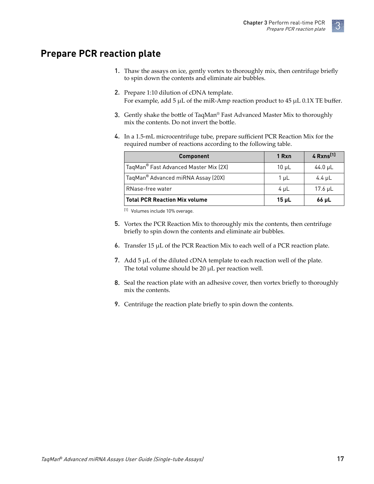### <span id="page-16-0"></span>**Prepare PCR reaction plate**

- 1. Thaw the assays on ice, gently vortex to thoroughly mix, then centrifuge brefl¢ to spin down the contents and eliminate air bubbles.
- 2. Prepare 1:10 dilution of cDNA template. For example, add 5  $\mu$ L of the miR-Amp reaction product to 45  $\mu$ L 0.1X TE buffer.
- 3. Gently shake the bottle of TaqMan® Fast Advanced Master Mix to thoroughly mix the contents. Do not invert the bottle.
- 4. In a 1.5-mL microcentrifuge tube, prepare sufficient PCR Reaction Mix for the required number of reactions according to the following table.

| <b>Component</b>                      | 1 Rxn      | 4 Rxns <sup>[1]</sup> |
|---------------------------------------|------------|-----------------------|
| TaqMan® Fast Advanced Master Mix (2X) | $10 \mu L$ | 44.0 $\mu$ L          |
| TaqMan® Advanced miRNA Assay (20X)    | 1 µL       | 4.4 $\mu$ L           |
| RNase-free water                      | $4 \mu L$  | 17.6 $\mu$ L          |
| <b>Total PCR Reaction Mix volume</b>  | $15$ µL    | $66$ µL               |

[1] Volumes include 10% overage.

- 5. Vortex the PCR Reaction Mix to thoroughly mix the contents, then centrifuge briefly to spin down the contents and eliminate air bubbles.
- 6. Transfer 15  $\mu$ L of the PCR Reaction Mix to each well of a PCR reaction plate.
- 7. Add  $5 \mu L$  of the diluted cDNA template to each reaction well of the plate. The total volume should be 20  $\mu$ L per reaction well.
- 8. Seal the reaction plate with an adhesive cover, then vortex briefly to thoroughly mix the contents.
- 9. Centrifuge the reaction plate briefly to spin down the contents.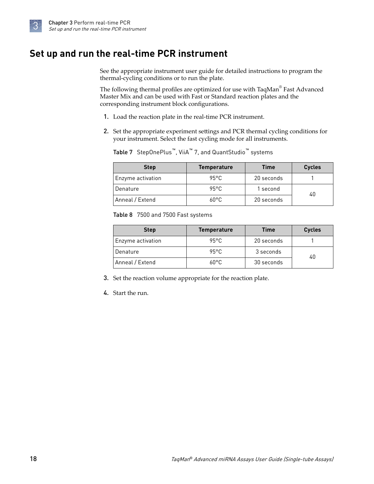<span id="page-17-0"></span>

## **Set up and run the real-time PCR instrument**

See the appropriate instrument user guide for detailed instructions to program the thermal-cycling conditions or to run the plate.

The following thermal profiles are optimized for use with TaqMan® Fast Advanced Master Mix and can be used with Fast or Standard reaction plates and the corresponding instrument block configurations.

- 1. Load the reaction plate in the real-time PCR instrument.
- 2. Set the appropriate experiment settings and PCR thermal cycling conditions for your instrument. Select the fast cycling mode for all instruments.

Table 7 StepOnePlus™, ViiA™ 7, and QuantStudio™ systems

| <b>Step</b>       | <b>Temperature</b> | <b>Time</b> | <b>Cycles</b> |
|-------------------|--------------------|-------------|---------------|
| Enzyme activation | 95°C               | 20 seconds  |               |
| Denature          | 95°C               | 1 second    | 40            |
| Anneal / Extend   | 60°C.              | 20 seconds  |               |

Table 8 7500 and 7500 Fast systems

| <b>Step</b>       | <b>Temperature</b> | <b>Time</b> | <b>Cycles</b> |
|-------------------|--------------------|-------------|---------------|
| Enzyme activation | $95^{\circ}$ C     | 20 seconds  |               |
| Denature          | 95°C               | 3 seconds   | 40            |
| Anneal / Extend   | 60°C               | 30 seconds  |               |

3. Set the reaction volume appropriate for the reaction plate.

4. Start the run.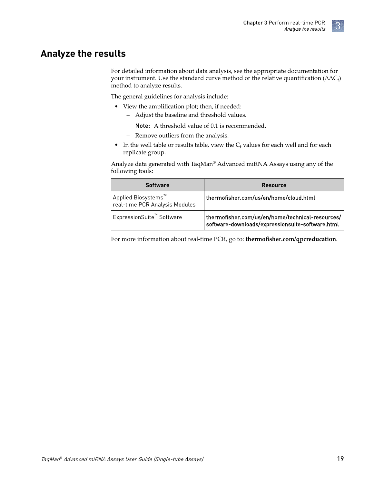### <span id="page-18-0"></span>**Analyze the results**

For detailed information about data analysis, see the appropriate documentation for your instrument. Use the standard curve method or the relative quantification ( $\Delta\Delta C_{t}$ ) method to analyze results.

The general guidelines for analysis include:

- View the amplification plot; then, if needed:
	- Adjust the baseline and threshold values.

Note: A threshold value of 0.1 is recommended.

- Remove outliers from the analysis.
- In the well table or results table, view the  $C_t$  values for each well and for each replicate group.

Analyze data generated with TaqMan® Advanced miRNA Assays using any of the following tools:

| Software                                                                                   | <b>Resource</b>                                                                                      |
|--------------------------------------------------------------------------------------------|------------------------------------------------------------------------------------------------------|
| $^{\shortmid}$ Applied Biosystems $^{\!\text{\tiny{M}}}$<br>real-time PCR Analysis Modules | thermofisher.com/us/en/home/cloud.html                                                               |
| ExpressionSuite™ Software                                                                  | thermofisher.com/us/en/home/technical-resources/<br>software-downloads/expressionsuite-software.html |

For more information about real-time PCR, go to: thermofisher.com/qpcreducation.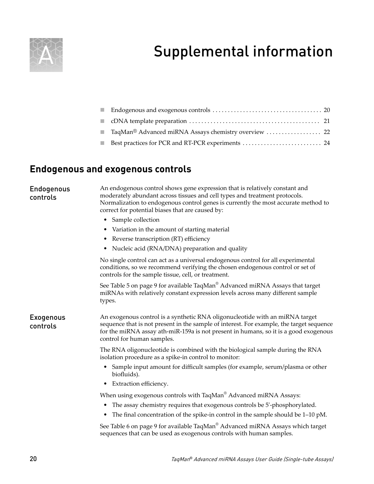<span id="page-19-0"></span>

## Supplemental information

| $\sim$ |  |
|--------|--|

### **Endogenous and exogenous controls**

Endogenous controls

An endogenous control shows gene expression that is relatively constant and moderately abundant across tissues and cell types and treatment protocols. Normalization to endogenous control genes is currently the most accurate method to correct for potential biases that are caused by:

- Sample collection
- Variation in the amount of starting material
- Reverse transcription (RT) efficiency
- Nucleic acid (RNA/DNA) preparation and quality

No single control can act as a universal endogenous control for all experimental conditions, so we recommend verifying the chosen endogenous control or set of controls for the sample tissue, cell, or treatment.

See [Table 5 on page 9](#page-8-0) for available TaqMan $^\circ$  Advanced miRNA Assays that target miRNAs with relatively constant expression levels across many dfferent sample types.

Exogenous controls

An exogenous control is a synthetic RNA oligonucleotide with an miRNA target sequence that is not present in the sample of interest. For example, the target sequence for the miRNA assay ath-miR-159a is not present in humans, so it is a good exogenous control for human samples.

The RNA oligonucleotide is combined with the biological sample during the RNA isolation procedure as a spike-in control to monitor:

- Sample input amount for dfficult samples (for example, serum/plasma or other biofluids).
- Extraction efficiency.

When using exogenous controls with TaqMan $^\circ$  Advanced miRNA Assays:

- The assay chemistry requires that exogenous controls be 5'-phosphorylated.
- The final concentration of the spike-in control in the sample should be 1–10 pM.

See [Table 6 on page 9](#page-8-0) for available TaqMan $^\circ$  Advanced miRNA Assays which target sequences that can be used as exogenous controls with human samples.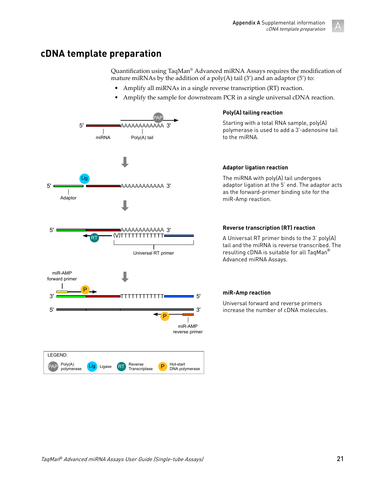

### <span id="page-20-0"></span>**cDNA template preparation**

Quantification using TaqMan<sup>®</sup> Advanced miRNA Assays requires the modification of mature miRNAs by the addition of a  $poly(A)$  tail (3') and an adaptor (5') to:

- Amplify all miRNAs in a single reverse transcription (RT) reaction.
- Amplify the sample for downstream PCR in a single universal cDNA reaction.



### **Poly(A) tailing reaction**

Starting with a total RNA sample, poly(A) polymerase is used to add a 3'‑adenosine tail to the miRNA.

### **Adaptor ligation reaction**

The miRNA with poly(A) tail undergoes adaptor ligation at the 5' end. The adaptor acts as the forward-primer binding site for the miR-Amp reaction.

A Universal RT primer binds to the 3' poly(A) tail and the miRNA is reverse transcribed. The resulting cDNA is suitable for all TaqMan® Advanced miRNA Assays.

### **miR-Amp reaction**

Universal forward and reverse primers increase the number of cDNA molecules.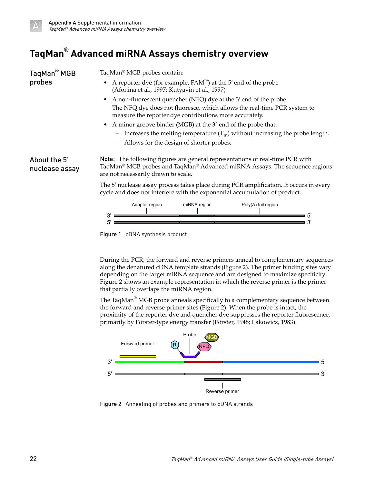<span id="page-21-0"></span>

## **TaqMan**®  **Advanced miRNA Assays chemistry overview**

| TaqMan <sup>®</sup> MGB        | TaqMan® MGB probes contain:<br>A reporter dye (for example, $FAM^M$ ) at the 5' end of the probe<br>(Afonina et al., 1997; Kutyavin et al., 1997)                                                                          |  |  |  |
|--------------------------------|----------------------------------------------------------------------------------------------------------------------------------------------------------------------------------------------------------------------------|--|--|--|
| probes                         |                                                                                                                                                                                                                            |  |  |  |
|                                | A non-fluorescent quencher (NFQ) dye at the 3' end of the probe.<br>$\bullet$                                                                                                                                              |  |  |  |
|                                | The NFQ dye does not fluoresce, which allows the real-time PCR system to<br>measure the reporter dye contributions more accurately.<br>• A minor groove binder (MGB) at the 3' end of the probe that:                      |  |  |  |
|                                |                                                                                                                                                                                                                            |  |  |  |
|                                | - Increases the melting temperature $(T_m)$ without increasing the probe length.                                                                                                                                           |  |  |  |
|                                | Allows for the design of shorter probes.<br>$\overline{\phantom{m}}$                                                                                                                                                       |  |  |  |
| About the 5'<br>nuclease assay | Note: The following figures are general representations of real-time PCR with<br>TaqMan <sup>®</sup> MGB probes and TaqMan <sup>®</sup> Advanced miRNA Assays. The sequence regions<br>are not necessarily drawn to scale. |  |  |  |
|                                | The 5' nuclease assay process takes place during PCR amplification. It occurs in every<br>cycle and does not interfere with the exponential accumulation of product.                                                       |  |  |  |
|                                | Adaptor region<br>Poly(A) tail region<br>miRNA region<br>5'                                                                                                                                                                |  |  |  |
|                                | 3'<br>5                                                                                                                                                                                                                    |  |  |  |

Figure 1 cDNA synthesis product

During the PCR, the forward and reverse primers anneal to complementary sequences along the denatured cDNA template strands (Figure 2). The primer binding sites vary depending on the target miRNA sequence and are designed to maximize specificity. Figure 2 shows an example representation in which the reverse primer is the primer that partially overlaps the miRNA region.

The TaqMan $^{\circ}$  MGB probe anneals specifically to a complementary sequence between the forward and reverse primer sites (Figure 2). When the probe is intact, the proximity of the reporter dye and quencher dye suppresses the reporter fluorescence, primarily by Förster-type energy transfer (Förster, 1948; Lakowicz, 1983).



Figure 2 Annealing of probes and primers to cDNA strands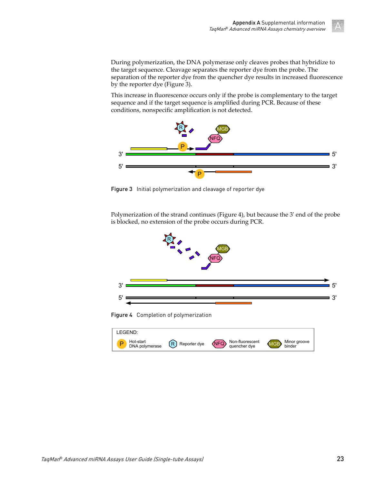During polymerization, the DNA polymerase only cleaves probes that hybridize to the target sequence. Cleavage separates the reporter dye from the probe. The separation of the reporter dye from the quencher dye results in increased fluorescence by the reporter dye (Figure 3).

This increase in fluorescence occurs only if the probe is complementary to the target sequence and if the target sequence is amplfied during PCR. Because of these conditions, nonspecific amplification is not detected.



Figure 3 Initial polymerization and cleavage of reporter dye

Polymerization of the strand continues (Figure 4), but because the 3' end of the probe is blocked, no extension of the probe occurs during PCR.



Figure 4 Completion of polymerization

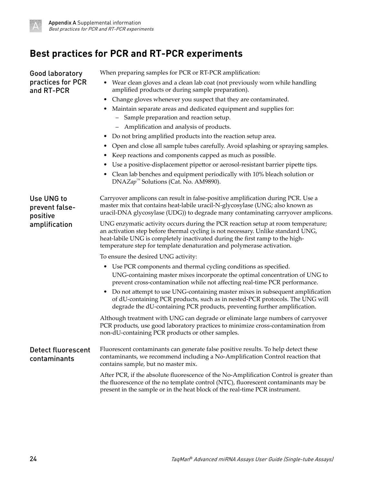<span id="page-23-0"></span>

## **Best practices for PCR and RT-PCR experiments**

| Good laboratory                           | When preparing samples for PCR or RT-PCR amplification:                                                                                                                                                                                                                                                                       |  |
|-------------------------------------------|-------------------------------------------------------------------------------------------------------------------------------------------------------------------------------------------------------------------------------------------------------------------------------------------------------------------------------|--|
| practices for PCR<br>and RT-PCR           | Wear clean gloves and a clean lab coat (not previously worn while handling<br>amplified products or during sample preparation).                                                                                                                                                                                               |  |
|                                           | • Change gloves whenever you suspect that they are contaminated.                                                                                                                                                                                                                                                              |  |
|                                           | • Maintain separate areas and dedicated equipment and supplies for:                                                                                                                                                                                                                                                           |  |
|                                           | - Sample preparation and reaction setup.                                                                                                                                                                                                                                                                                      |  |
|                                           | - Amplification and analysis of products.                                                                                                                                                                                                                                                                                     |  |
|                                           | • Do not bring amplified products into the reaction setup area.                                                                                                                                                                                                                                                               |  |
|                                           | • Open and close all sample tubes carefully. Avoid splashing or spraying samples.                                                                                                                                                                                                                                             |  |
|                                           | Keep reactions and components capped as much as possible.                                                                                                                                                                                                                                                                     |  |
|                                           | Use a positive-displacement pipettor or aerosol-resistant barrier pipette tips.                                                                                                                                                                                                                                               |  |
|                                           | • Clean lab benches and equipment periodically with 10% bleach solution or<br>DNAZap <sup>™</sup> Solutions (Cat. No. AM9890).                                                                                                                                                                                                |  |
| Use UNG to<br>prevent false-<br>positive  | Carryover amplicons can result in false-positive amplification during PCR. Use a<br>master mix that contains heat-labile uracil-N-glycosylase (UNG; also known as<br>uracil-DNA glycosylase (UDG)) to degrade many contaminating carryover amplicons.                                                                         |  |
| amplification                             | UNG enzymatic activity occurs during the PCR reaction setup at room temperature;<br>an activation step before thermal cycling is not necessary. Unlike standard UNG,<br>heat-labile UNG is completely inactivated during the first ramp to the high-<br>temperature step for template denaturation and polymerase activation. |  |
|                                           | To ensure the desired UNG activity:                                                                                                                                                                                                                                                                                           |  |
|                                           | • Use PCR components and thermal cycling conditions as specified.<br>UNG-containing master mixes incorporate the optimal concentration of UNG to<br>prevent cross-contamination while not affecting real-time PCR performance.                                                                                                |  |
|                                           | • Do not attempt to use UNG-containing master mixes in subsequent amplification<br>of dU-containing PCR products, such as in nested-PCR protocols. The UNG will<br>degrade the dU-containing PCR products, preventing further amplification.                                                                                  |  |
|                                           | Although treatment with UNG can degrade or eliminate large numbers of carryover<br>PCR products, use good laboratory practices to minimize cross-contamination from<br>non-dU-containing PCR products or other samples.                                                                                                       |  |
| <b>Detect fluorescent</b><br>contaminants | Fluorescent contaminants can generate false positive results. To help detect these<br>contaminants, we recommend including a No-Amplification Control reaction that<br>contains sample, but no master mix.                                                                                                                    |  |
|                                           | After PCR, if the absolute fluorescence of the No-Amplification Control is greater than<br>the fluorescence of the no template control (NTC), fluorescent contaminants may be<br>present in the sample or in the heat block of the real-time PCR instrument.                                                                  |  |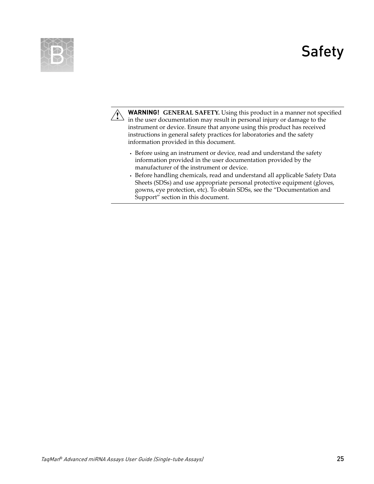## Safety

<span id="page-24-0"></span>



**WARNING! GENERAL SAFETY.** Using this product in a manner not specfied in the user documentation may result in personal injury or damage to the instrument or device. Ensure that anyone using this product has received instructions in general safety practices for laboratories and the safety information provided in this document.

- **·** Before using an instrument or device, read and understand the safety information provided in the user documentation provided by the manufacturer of the instrument or device.
- **·** Before handling chemicals, read and understand all applicable Safety Data Sheets (SDSs) and use appropriate personal protective equipment (gloves, gowns, eye protection, etc). To obtain SDSs, see the "Documentation and Support" section in this document.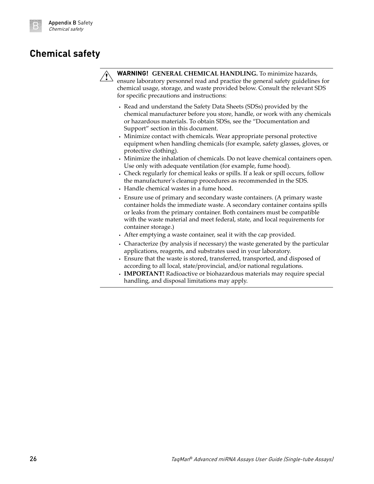## <span id="page-25-0"></span>**Chemical safety**



**WARNING! GENERAL CHEMICAL HANDLING.** To minimize hazards, ensure laboratory personnel read and practice the general safety guidelines for chemical usage, storage, and waste provided below. Consult the relevant SDS for specfic precautions and instructions:

- **·** Read and understand the Safety Data Sheets (SDSs) provided by the chemical manufacturer before you store, handle, or work with any chemicals or hazardous materials. To obtain SDSs, see the "Documentation and Support" section in this document.
- **·** Minimize contact with chemicals. Wear appropriate personal protective equipment when handling chemicals (for example, safety glasses, gloves, or protective clothing).
- **·** Minimize the inhalation of chemicals. Do not leave chemical containers open. Use only with adequate ventilation (for example, fume hood).
- **·** Check regularly for chemical leaks or spills. If a leak or spill occurs, follow the manufacturer's cleanup procedures as recommended in the SDS.
- **·** Handle chemical wastes in a fume hood.
- **·** Ensure use of primary and secondary waste containers. (A primary waste container holds the immediate waste. A secondary container contains spills or leaks from the primary container. Both containers must be compatible with the waste material and meet federal, state, and local requirements for container storage.)
- **·** After emptying a waste container, seal it with the cap provided.
- **·** Characterize (by analysis if necessary) the waste generated by the particular applications, reagents, and substrates used in your laboratory.
- **·** Ensure that the waste is stored, transferred, transported, and disposed of according to all local, state/provincial, and/or national regulations.
- **· IMPORTANT!** Radioactive or biohazardous materials may require special handling, and disposal limitations may apply.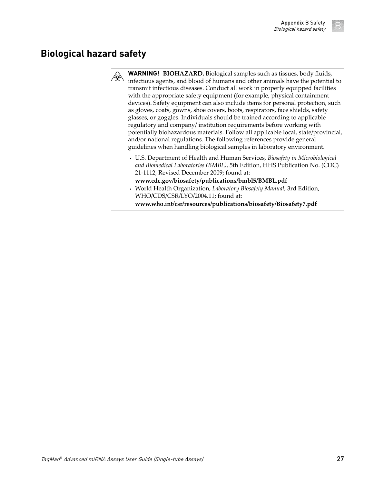## <span id="page-26-0"></span>**Biological hazard safety**



**WARNING! BIOHAZARD.** Biological samples such as tissues, body fluids, infectious agents, and blood of humans and other animals have the potential to transmit infectious diseases. Conduct all work in properly equipped facilities with the appropriate safety equipment (for example, physical containment devices). Safety equipment can also include items for personal protection, such as gloves, coats, gowns, shoe covers, boots, respirators, face shields, safety glasses, or goggles. Individuals should be trained according to applicable regulatory and company/ institution requirements before working with potentially biohazardous materials. Follow all applicable local, state/provincial, and/or national regulations. The following references provide general guidelines when handling biological samples in laboratory environment.

- **·** U.S. Department of Health and Human Services, *Biosafety in Microbiological and Biomedical Laboratories (BMBL)*, 5th Edition, HHS Publication No. (CDC) 21-1112, Revised December 2009; found at:
- **[www.cdc.gov/biosafety/publications/bmbl5/BMBL.pdf](http://www.cdc.gov/biosafety/publications/bmbl5/BMBL.pdf) ·** World Health Organization, *Laboratory Biosafety Manual*, 3rd Edition, WHO/CDS/CSR/LYO/2004.11; found at:

**[www.who.int/csr/resources/publications/biosafety/Biosafety7.pdf](http://www.who.int/csr/resources/publications/biosafety/Biosafety7.pdf)**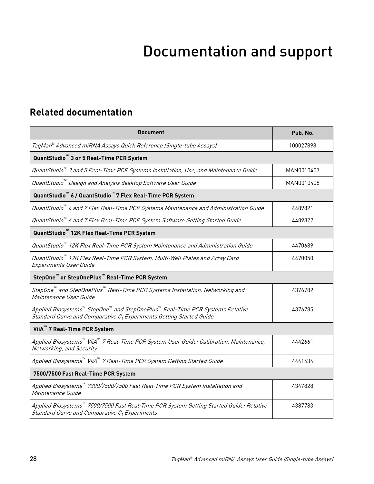# Documentation and support

## <span id="page-27-0"></span>**Related documentation**

| Document                                                                                                                                                        | Pub. No.   |
|-----------------------------------------------------------------------------------------------------------------------------------------------------------------|------------|
| TaqMan® Advanced miRNA Assays Quick Reference (Single-tube Assays)                                                                                              | 100027898  |
| QuantStudio <sup>"</sup> 3 or 5 Real-Time PCR System                                                                                                            |            |
| QuantStudio™ 3 and 5 Real-Time PCR Systems Installation, Use, and Maintenance Guide                                                                             | MAN0010407 |
| QuantStudio™ Design and Analysis desktop Software User Guide                                                                                                    | MAN0010408 |
| QuantStudio <sup>™</sup> 6 / QuantStudio <sup>™</sup> 7 Flex Real-Time PCR System                                                                               |            |
| QuantStudio dand 7 Flex Real-Time PCR Systems Maintenance and Administration Guide                                                                              | 4489821    |
| QuantStudio dand 7 Flex Real-Time PCR System Software Getting Started Guide                                                                                     | 4489822    |
| QuantStudio <sup>™</sup> 12K Flex Real-Time PCR System                                                                                                          |            |
| QuantStudio™ 12K Flex Real-Time PCR System Maintenance and Administration Guide                                                                                 | 4470689    |
| QuantStudio™ 12K Flex Real-Time PCR System: Multi-Well Plates and Array Card<br><b>Experiments User Guide</b>                                                   | 4470050    |
| StepOne <sup>™</sup> or StepOnePlus <sup>™</sup> Real-Time PCR System                                                                                           |            |
| StepOne™ and StepOnePlus™ Real-Time PCR Systems Installation, Networking and<br>Maintenance User Guide                                                          | 4376782    |
| Applied Biosystems™ Step0ne™ and Step0nePlus™ Real-Time PCR Systems Relative<br>Standard Curve and Comparative C <sub>t</sub> Experiments Getting Started Guide | 4376785    |
| ViiA <sup>™</sup> 7 Real-Time PCR System                                                                                                                        |            |
| Applied Biosystems™ ViiA™ 7 Real-Time PCR System User Guide: Calibration, Maintenance,<br>Networking, and Security                                              | 4442661    |
| Applied Biosystems™ ViiA™ 7 Real-Time PCR System Getting Started Guide                                                                                          | 4441434    |
| 7500/7500 Fast Real-Time PCR System                                                                                                                             |            |
| Applied Biosystems™ 7300/7500/7500 Fast Real-Time PCR System Installation and<br>Maintenance Guide                                                              | 4347828    |
| Applied Biosystems™ 7500/7500 Fast Real-Time PCR System Getting Started Guide: Relative<br>Standard Curve and Comparative C <sub>t</sub> Experiments            | 4387783    |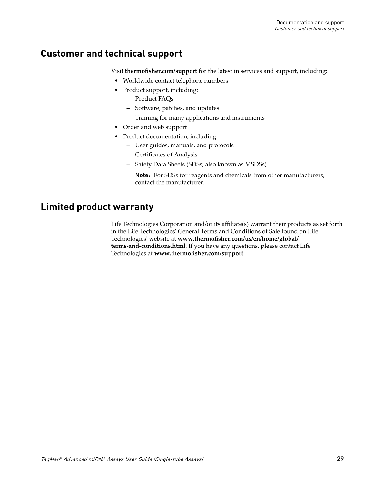## <span id="page-28-0"></span>**Customer and technical support**

Visit **thermofisher.com/support** for the latest in services and support, including:

- Worldwide contact telephone numbers
- Product support, including:
	- Product FAQs
	- Software, patches, and updates
	- Training for many applications and instruments
- Order and web support
- Product documentation, including:
	- User guides, manuals, and protocols
	- Certificates of Analysis
	- Safety Data Sheets (SDSs; also known as MSDSs)

Note: For SDSs for reagents and chemicals from other manufacturers, contact the manufacturer.

### **Limited product warranty**

Life Technologies Corporation and/or its affilate(s) warrant their products as set forth in the Life Technologies' General Terms and Conditions of Sale found on Life Technologies' website at www.thermofisher.com/us/en/home/global/ **[terms-and-conditions.html](http://www.thermofisher.com/us/en/home/global/terms-and-conditions.html)**. If you have any questions, please contact Life Technologies at www.thermofisher.com/support.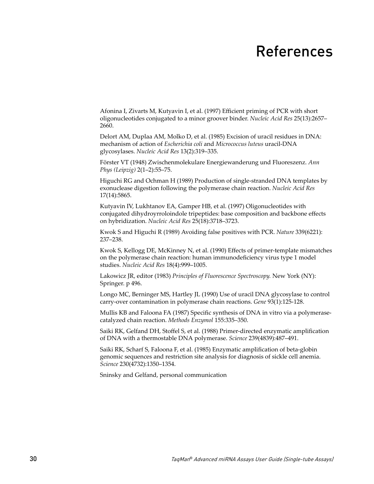## References

<span id="page-29-0"></span>Afonina I, Zivarts M, Kutyavin I, et al. (1997) fficent priming of PCR with short oligonucleotides conjugated to a minor groover binder. *Nucleic Acid Res* 25(13):2657– 2660.

Delort AM, Duplaa AM, Molko D, et al. (1985) Excision of uracil residues in DNA: mechanism of action of *Escherichia coli* and *Micrococcus luteus* uracil-DNA glycosylases. *Nucleic Acid Res* 13(2):319–335.

Förster VT (1948) Zwischenmolekulare Energiewanderung und Fluoreszenz. *Ann Phys (Leipzig)* 2(1–2):55–75.

Higuchi RG and Ochman H (1989) Production of single-stranded DNA templates by exonuclease digestion following the polymerase chain reaction. *Nucleic Acid Res* 17(14):5865.

Kutyavin IV, Lukhtanov EA, Gamper HB, et al. (1997) Oligonucleotides with conjugated dihydroyrroloindole tripeptides: base composition and backbone effects on hybridization. *Nucleic Acid Res* 25(18):3718–3723.

Kwok S and Higuchi R (1989) Avoiding false positives with PCR. *Nature* 339(6221): 237–238.

Kwok S, Kellogg DE, McKinney N, et al. (1990) Effects of primer-template mismatches on the polymerase chain reaction: human immunodeficiency virus type 1 model studies. *Nucleic Acid Res* 18(4):999–1005.

Lakowicz JR, editor (1983) *Principles of Fluorescence Spectroscopy.* New York (NY): Springer. p 496.

Longo MC, Berninger MS, Hartley JL (1990) Use of uracil DNA glycosylase to control carry-over contamination in polymerase chain reactions. *Gene* 93(1):125-128.

Mullis KB and Faloona FA (1987) Specific synthesis of DNA in vitro via a polymerasecatalyzed chain reaction. *Methods Enzymol* 155:335–350.

Saiki RK, Gelfand DH, Stoffel S, et al. (1988) Primer-directed enzymatic amplification of DNA with a thermostable DNA polymerase. *Science* 239(4839):487–491.

Saiki RK, Scharf S, Faloona F, et al. (1985) Enzymatic amplification of beta-globin genomic sequences and restriction site analysis for diagnosis of sickle cell anemia. *Science* 230(4732):1350–1354.

Sninsky and Gelfand, personal communication